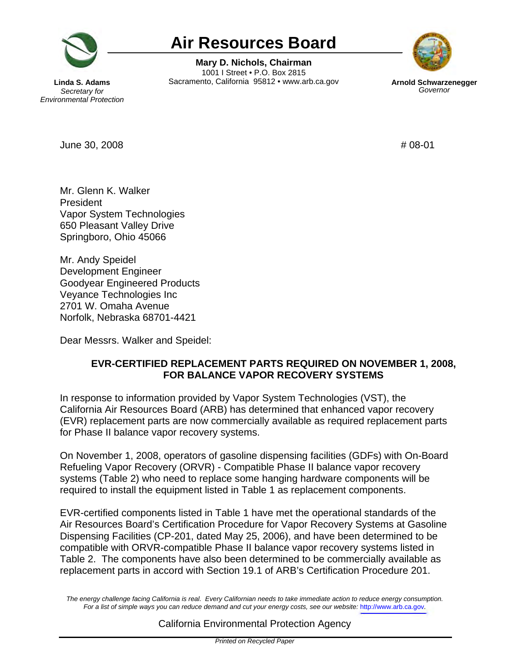

## **Air Resources Board**

**Mary D. Nichols, Chairman**  1001 I Street • P.O. Box 2815 **Linda S. Adams Sacramento, California 95812 • www.arb.ca.gov <b>Arnold Schwarzenegger Secretary for Secretary** for **Air Resources Board<br>Mary D. Nichols, Chairman<br>And S. Adams<br>Secretary for Sacramento, California 95812 • www.arb.ca.gov Arn** 



**Secretary for** *Environmental Protection* 

 $\mu$  June 30, 2008  $\mu$  08-01

Mr. Glenn K. Walker President Vapor System Technologies 650 Pleasant Valley Drive Springboro, Ohio 45066

Mr. Andy Speidel Development Engineer Goodyear Engineered Products Veyance Technologies Inc 2701 W. Omaha Avenue Norfolk, Nebraska 68701-4421

Dear Messrs. Walker and Speidel:

## **EVR-CERTIFIED REPLACEMENT PARTS REQUIRED ON NOVEMBER 1, 2008, FOR BALANCE VAPOR RECOVERY SYSTEMS**

In response to information provided by Vapor System Technologies (VST), the California Air Resources Board (ARB) has determined that enhanced vapor recovery (EVR) replacement parts are now commercially available as required replacement parts for Phase II balance vapor recovery systems.

On November 1, 2008, operators of gasoline dispensing facilities (GDFs) with On-Board Refueling Vapor Recovery (ORVR) - Compatible Phase II balance vapor recovery systems (Table 2) who need to replace some hanging hardware components will be required to install the equipment listed in Table 1 as replacement components.

EVR-certified components listed in Table 1 have met the operational standards of the Air Resources Board's Certification Procedure for Vapor Recovery Systems at Gasoline Dispensing Facilities (CP-201, dated May 25, 2006), and have been determined to be compatible with ORVR-compatible Phase II balance vapor recovery systems listed in Table 2. The components have also been determined to be commercially available as replacement parts in accord with Section 19.1 of ARB's Certification Procedure 201.

*The energy challenge facing California is real. Every Californian needs to take immediate action to reduce energy consumption. For a list of simple ways you can reduce demand and cut your energy costs, see our website:* <http://www.arb.ca.gov>*.* 

California Environmental Protection Agency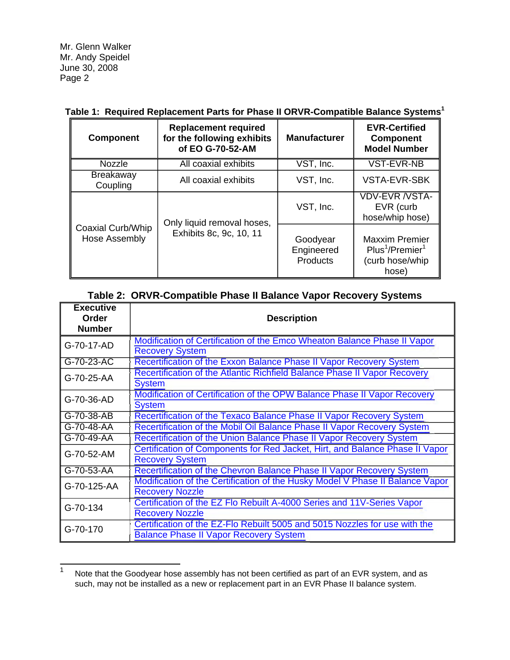Mr. Glenn Walker Mr. Andy Speidel June 30, 2008 Page 2

| <b>Component</b>                   | <b>Replacement required</b><br>for the following exhibits<br>of EO G-70-52-AM | <b>Manufacturer</b>                | <b>EVR-Certified</b><br><b>Component</b><br><b>Model Number</b>                              |
|------------------------------------|-------------------------------------------------------------------------------|------------------------------------|----------------------------------------------------------------------------------------------|
| <b>Nozzle</b>                      | All coaxial exhibits                                                          | VST, Inc.                          | VST-EVR-NB                                                                                   |
| <b>Breakaway</b><br>Coupling       | All coaxial exhibits                                                          | VST, Inc.                          | <b>VSTA-EVR-SBK</b>                                                                          |
| Coaxial Curb/Whip<br>Hose Assembly | Only liquid removal hoses,<br>Exhibits 8c, 9c, 10, 11                         | VST, Inc.                          | <b>VDV-EVR /VSTA-</b><br>EVR (curb<br>hose/whip hose)                                        |
|                                    |                                                                               | Goodyear<br>Engineered<br>Products | <b>Maxxim Premier</b><br>Plus <sup>1</sup> /Premier <sup>1</sup><br>(curb hose/whip<br>hose) |

## **Table 1: Required Replacement Parts for Phase II ORVR-Compatible Balance Systems<sup>1</sup>**

| <u>RANG 2. UN VINTOURING I HASE II DAIAHUG VAPUL NGCOVGI V OYSIGINS</u> |                                                                                                                             |  |  |
|-------------------------------------------------------------------------|-----------------------------------------------------------------------------------------------------------------------------|--|--|
| <b>Executive</b><br>Order<br><b>Number</b>                              | <b>Description</b>                                                                                                          |  |  |
| G-70-17-AD                                                              | Modification of Certification of the Emco Wheaton Balance Phase II Vapor<br><b>Recovery System</b>                          |  |  |
| G-70-23-AC                                                              | Recertification of the Exxon Balance Phase II Vapor Recovery System                                                         |  |  |
| G-70-25-AA                                                              | Recertification of the Atlantic Richfield Balance Phase II Vapor Recovery<br><b>System</b>                                  |  |  |
| G-70-36-AD                                                              | Modification of Certification of the OPW Balance Phase II Vapor Recovery<br><b>System</b>                                   |  |  |
| G-70-38-AB                                                              | Recertification of the Texaco Balance Phase II Vapor Recovery System                                                        |  |  |
| G-70-48-AA                                                              | Recertification of the Mobil Oil Balance Phase II Vapor Recovery System                                                     |  |  |
| G-70-49-AA                                                              | Recertification of the Union Balance Phase II Vapor Recovery System                                                         |  |  |
| G-70-52-AM                                                              | Certification of Components for Red Jacket, Hirt, and Balance Phase II Vapor<br><b>Recovery System</b>                      |  |  |
| G-70-53-AA                                                              | Recertification of the Chevron Balance Phase II Vapor Recovery System                                                       |  |  |
| G-70-125-AA                                                             | Modification of the Certification of the Husky Model V Phase II Balance Vapor<br><b>Recovery Nozzle</b>                     |  |  |
| G-70-134                                                                | Certification of the EZ Flo Rebuilt A-4000 Series and 11V-Series Vapor<br><b>Recovery Nozzle</b>                            |  |  |
| G-70-170                                                                | Certification of the EZ-Flo Rebuilt 5005 and 5015 Nozzles for use with the<br><b>Balance Phase II Vapor Recovery System</b> |  |  |

## **Table 2: ORVR-Compatible Phase II Balance Vapor Recovery Systems**

Note that the Goodyear hose assembly has not been certified as part of an EVR system, and as such, may not be installed as a new or replacement part in an EVR Phase II balance system. 1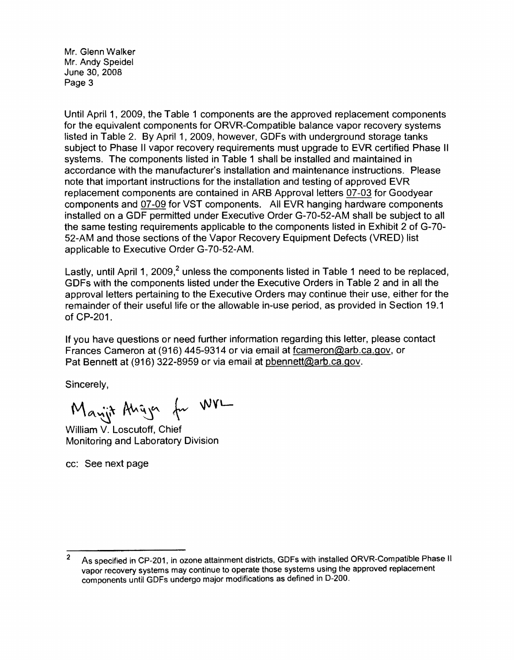Mr. Glenn Walker Mr. Andy Speidel June 30, 2008 Page 3

Until April 1, 2009, the Table 1 components are the approved replacement components for the equivalent components for ORVR-Compatible balance vapor recovery systems listed in Table 2. By April 1, 2009, however, GDFs with underground storage tanks subject to Phase II vapor recovery requirements must upgrade to EVR certified Phase II systems. The components listed in Table 1 shall be installed and maintained in accordance with the manufacturer's installation and maintenance instructions. Please note that important instructions for the installation and testing of approved EVR replacement components are contained in ARB Approval letters 07-03 for Goodyear components and 07-09 for VST components. All EVR hanging hardware components installed on a GDF permitted under Executive Order G-70-52-AM shall be subject to all the same testing requirements applicable to the components listed in Exhibit 2 of G-70- 52-AM and those sections of the Vapor Recovery Equipment Defects (VRED) list applicable to Executive Order G-70-52-AM.

Lastly, until April 1, 2009,<sup>2</sup> unless the components listed in Table 1 need to be replaced, GDFs with the components listed under the Executive Orders in Table 2 and in all the approval letters pertaining to the Executive Orders may continue their use, either for the remainder of their useful life or the allowable in-use period, as provided in Section 19.1 of CP-201.

If you have questions or need further information regarding this letter, please contact Frances Cameron at (916) 445-9314 or via email at [fcameron@arb.ca.gov](mailto:fcameron@arb.ca.gov), or Pat Bennett at (916) 322-8959 or via email at [pbennett@arb.ca.gov](mailto:pbennett@arb.ca.gov).

Sincerely,

Manjit Angyer for WVL

William V. Loscutoff, Chief Monitoring and Laboratory Division

cc: See next page

<sup>&</sup>lt;sup>2</sup> As specified in CP-201, in ozone attainment districts, GDFs with installed ORVR-Compatible Phase II vapor recovery systems may continue to operate those systems using the approved replacement components until GDFs undergo major modifications as defined in D-200.